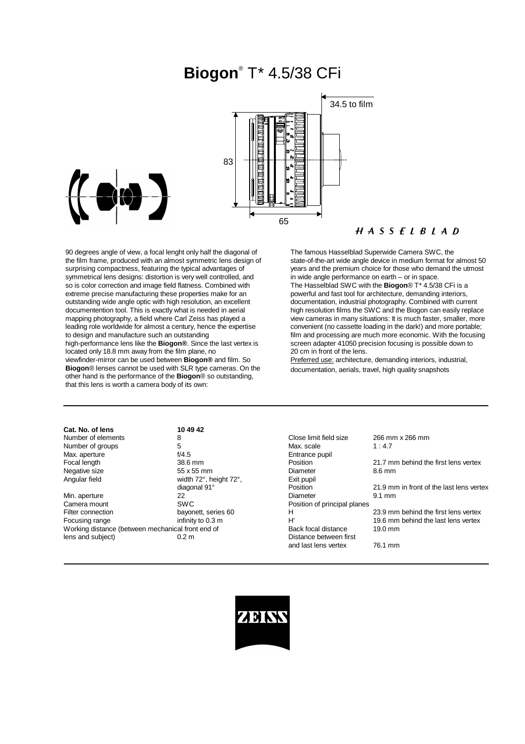# **Biogon**® T\* 4.5/38 CFi





90 degrees angle of view, a focal lenght only half the diagonal of the film frame, produced with an almost symmetric lens design of surprising compactness, featuring the typical advantages of symmetrical lens designs: distortion is very well controlled, and so is color correction and image field flatness. Combined with extreme precise manufacturing these properties make for an outstanding wide angle optic with high resolution, an excellent documentention tool. This is exactly what is needed in aerial mapping photography, a field where Carl Zeiss has played a leading role worldwide for almost a century, hence the expertise to design and manufacture such an outstanding high-performance lens like the **Biogon®**. Since the last vertex is located only 18.8 mm away from the film plane, no viewfinder-mirror can be used between **Biogon®** and film. So **Biogon**® lenses cannot be used with SLR type cameras. On the other hand is the performance of the **Biogon**® so outstanding, that this lens is worth a camera body of its own:

### $H A S S F I B I A D$

The famous Hasselblad Superwide Camera SWC, the state-of-the-art wide angle device in medium format for almost 50 years and the premium choice for those who demand the utmost in wide angle performance on earth – or in space. The Hasselblad SWC with the **Biogon**® T\* 4.5/38 CFi is a powerful and fast tool for architecture, demanding interiors, documentation, industrial photography. Combined with current high resolution films the SWC and the Biogon can easily replace view cameras in many situations: It is much faster, smaller, more convenient (no cassette loading in the dark!) and more portable; film and processing are much more economic. With the focusing screen adapter 41050 precision focusing is possible down to 20 cm in front of the lens.

Preferred use: architecture, demanding interiors, industrial, documentation, aerials, travel, high quality snapshots

| Cat. No. of lens                                  | 10 49 42               |                              |                                        |
|---------------------------------------------------|------------------------|------------------------------|----------------------------------------|
| Number of elements                                | 8                      | Close limit field size       | 266 mm x 266 mm                        |
| Number of groups                                  | 5                      | Max. scale                   | 1:4.7                                  |
| Max. aperture                                     | f/4.5                  | Entrance pupil               |                                        |
| Focal length                                      | 38.6 mm                | Position                     | 21.7 mm behind the first lens vertex   |
| Negative size                                     | 55 x 55 mm             | Diameter                     | 8.6 mm                                 |
| Angular field                                     | width 72°, height 72°, | Exit pupil                   |                                        |
|                                                   | diagonal 91°           | Position                     | 21.9 mm in front of the last lens vert |
| Min. aperture                                     | 22                     | Diameter                     | $9.1 \text{ mm}$                       |
| Camera mount                                      | <b>SWC</b>             | Position of principal planes |                                        |
| Filter connection                                 | bayonett, series 60    | н                            | 23.9 mm behind the first lens vertex   |
| Focusing range                                    | infinity to 0.3 m      | H'                           | 19.6 mm behind the last lens vertex    |
| Working distance (between mechanical front end of |                        | Back focal distance          | $19.0 \text{ mm}$                      |
| lens and subject)                                 | 0.2 <sub>m</sub>       | Distance between first       |                                        |
|                                                   |                        | and last lens vertex         | 76 1 mm                                |

| 8                      | Close limit field size       | 266 mm x 266 mm                          |
|------------------------|------------------------------|------------------------------------------|
| 5                      | Max. scale                   | 1:4.7                                    |
| f/4.5                  | Entrance pupil               |                                          |
| 38.6 mm                | Position                     | 21.7 mm behind the first lens vertex     |
| 55 x 55 mm             | Diameter                     | 8.6 mm                                   |
| width 72°, height 72°, | Exit pupil                   |                                          |
| diagonal 91°           | Position                     | 21.9 mm in front of the last lens vertex |
| 22.                    | Diameter                     | $9.1 \text{ mm}$                         |
| SWC                    | Position of principal planes |                                          |
| bayonett, series 60    | н                            | 23.9 mm behind the first lens vertex     |
| infinity to 0.3 m      | H'                           | 19.6 mm behind the last lens vertex      |
| al front end of        | Back focal distance          | 19.0 mm                                  |
| 0.2 m                  | Distance between first       |                                          |
|                        | and last lens vertex         | 76.1 mm                                  |
|                        |                              |                                          |